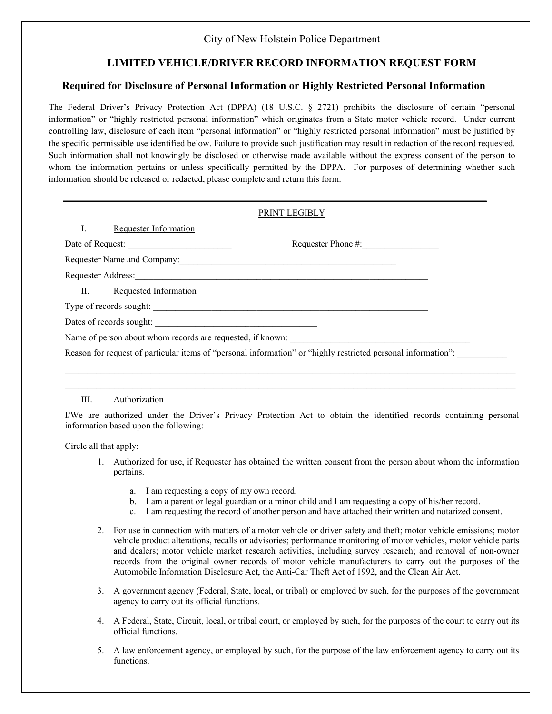## City of New Holstein Police Department

## **LIMITED VEHICLE/DRIVER RECORD INFORMATION REQUEST FORM**

## **Required for Disclosure of Personal Information or Highly Restricted Personal Information**

The Federal Driver's Privacy Protection Act (DPPA) (18 U.S.C. § 2721) prohibits the disclosure of certain "personal information" or "highly restricted personal information" which originates from a State motor vehicle record. Under current controlling law, disclosure of each item "personal information" or "highly restricted personal information" must be justified by the specific permissible use identified below. Failure to provide such justification may result in redaction of the record requested. Such information shall not knowingly be disclosed or otherwise made available without the express consent of the person to whom the information pertains or unless specifically permitted by the DPPA. For purposes of determining whether such information should be released or redacted, please complete and return this form.

|    |                                                            | PRINT LEGIBLY                                                                                                                                                                                                                  |  |
|----|------------------------------------------------------------|--------------------------------------------------------------------------------------------------------------------------------------------------------------------------------------------------------------------------------|--|
|    | Requester Information                                      |                                                                                                                                                                                                                                |  |
|    |                                                            | Requester Phone #:                                                                                                                                                                                                             |  |
|    |                                                            | Requester Name and Company: 1990 and 200 months and 200 months and 200 months and 200 months and 200 months and 200 months and 200 months and 200 months and 200 months and 200 months and 200 months and 200 months and 200 m |  |
|    |                                                            | Requester Address: North Contract Contract on the Contract of the Contract of the Contract of the Contract of the Contract of the Contract of the Contract of the Contract of the Contract of the Contract of the Contract of  |  |
| П. | <b>Requested Information</b>                               |                                                                                                                                                                                                                                |  |
|    |                                                            |                                                                                                                                                                                                                                |  |
|    |                                                            |                                                                                                                                                                                                                                |  |
|    | Name of person about whom records are requested, if known: |                                                                                                                                                                                                                                |  |
|    |                                                            | Reason for request of particular items of "personal information" or "highly restricted personal information":                                                                                                                  |  |
|    |                                                            |                                                                                                                                                                                                                                |  |
|    |                                                            |                                                                                                                                                                                                                                |  |

## III. Authorization

I/We are authorized under the Driver's Privacy Protection Act to obtain the identified records containing personal information based upon the following:

Circle all that apply:

- 1. Authorized for use, if Requester has obtained the written consent from the person about whom the information pertains.
	- a. I am requesting a copy of my own record.
	- b. I am a parent or legal guardian or a minor child and I am requesting a copy of his/her record.
	- c. I am requesting the record of another person and have attached their written and notarized consent.
- 2. For use in connection with matters of a motor vehicle or driver safety and theft; motor vehicle emissions; motor vehicle product alterations, recalls or advisories; performance monitoring of motor vehicles, motor vehicle parts and dealers; motor vehicle market research activities, including survey research; and removal of non-owner records from the original owner records of motor vehicle manufacturers to carry out the purposes of the Automobile Information Disclosure Act, the Anti-Car Theft Act of 1992, and the Clean Air Act.
- 3. A government agency (Federal, State, local, or tribal) or employed by such, for the purposes of the government agency to carry out its official functions.
- 4. A Federal, State, Circuit, local, or tribal court, or employed by such, for the purposes of the court to carry out its official functions.
- 5. A law enforcement agency, or employed by such, for the purpose of the law enforcement agency to carry out its functions.